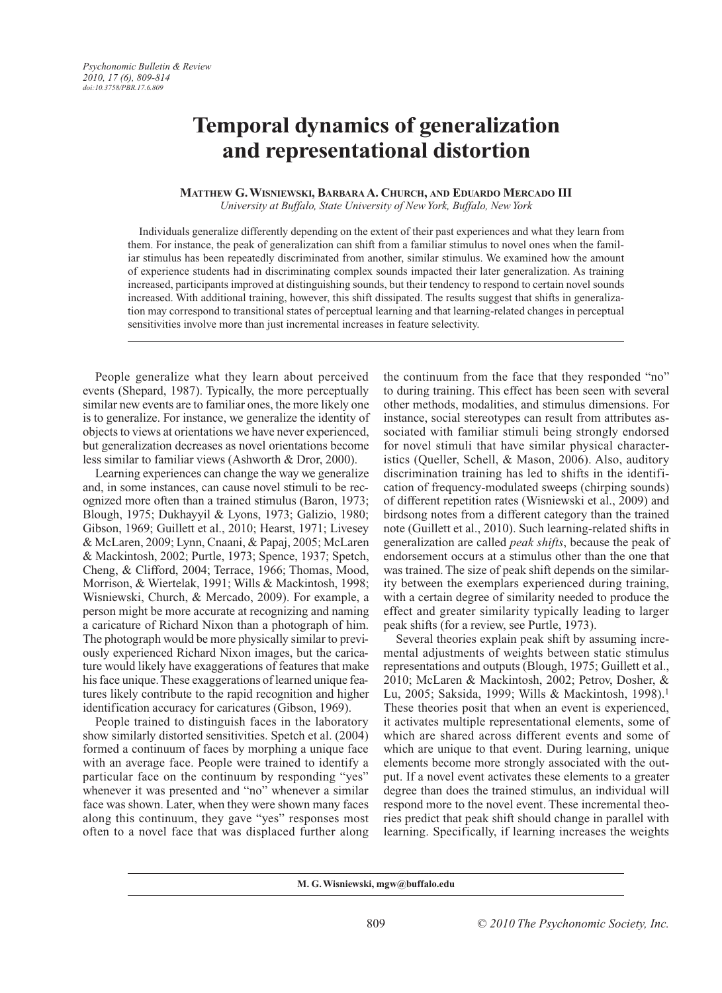# **Temporal dynamics of generalization and representational distortion**

## **MATTHEW G. WISNIEWSKI, BARBARA A. CHURCH, AND EDUARDO MERCADO III** *University at Buffalo, State University of New York, Buffalo, New York*

Individuals generalize differently depending on the extent of their past experiences and what they learn from them. For instance, the peak of generalization can shift from a familiar stimulus to novel ones when the familiar stimulus has been repeatedly discriminated from another, similar stimulus. We examined how the amount of experience students had in discriminating complex sounds impacted their later generalization. As training increased, participants improved at distinguishing sounds, but their tendency to respond to certain novel sounds increased. With additional training, however, this shift dissipated. The results suggest that shifts in generalization may correspond to transitional states of perceptual learning and that learning-related changes in perceptual sensitivities involve more than just incremental increases in feature selectivity.

People generalize what they learn about perceived events (Shepard, 1987). Typically, the more perceptually similar new events are to familiar ones, the more likely one is to generalize. For instance, we generalize the identity of objects to views at orientations we have never experienced, but generalization decreases as novel orientations become less similar to familiar views (Ashworth & Dror, 2000).

Learning experiences can change the way we generalize and, in some instances, can cause novel stimuli to be recognized more often than a trained stimulus (Baron, 1973; Blough, 1975; Dukhayyil & Lyons, 1973; Galizio, 1980; Gibson, 1969; Guillett et al., 2010; Hearst, 1971; Livesey & McLaren, 2009; Lynn, Cnaani, & Papaj, 2005; McLaren & Mackintosh, 2002; Purtle, 1973; Spence, 1937; Spetch, Cheng, & Clifford, 2004; Terrace, 1966; Thomas, Mood, Morrison, & Wiertelak, 1991; Wills & Mackintosh, 1998; Wisniewski, Church, & Mercado, 2009). For example, a person might be more accurate at recognizing and naming a caricature of Richard Nixon than a photograph of him. The photograph would be more physically similar to previously experienced Richard Nixon images, but the caricature would likely have exaggerations of features that make his face unique. These exaggerations of learned unique features likely contribute to the rapid recognition and higher identification accuracy for caricatures (Gibson, 1969).

People trained to distinguish faces in the laboratory show similarly distorted sensitivities. Spetch et al. (2004) formed a continuum of faces by morphing a unique face with an average face. People were trained to identify a particular face on the continuum by responding "yes" whenever it was presented and "no" whenever a similar face was shown. Later, when they were shown many faces along this continuum, they gave "yes" responses most often to a novel face that was displaced further along

the continuum from the face that they responded "no" to during training. This effect has been seen with several other methods, modalities, and stimulus dimensions. For instance, social stereotypes can result from attributes associated with familiar stimuli being strongly endorsed for novel stimuli that have similar physical characteristics (Queller, Schell, & Mason, 2006). Also, auditory discrimination training has led to shifts in the identification of frequency-modulated sweeps (chirping sounds) of different repetition rates (Wisniewski et al., 2009) and birdsong notes from a different category than the trained note (Guillett et al., 2010). Such learning-related shifts in generalization are called *peak shifts*, because the peak of endorsement occurs at a stimulus other than the one that was trained. The size of peak shift depends on the similarity between the exemplars experienced during training, with a certain degree of similarity needed to produce the effect and greater similarity typically leading to larger peak shifts (for a review, see Purtle, 1973).

Several theories explain peak shift by assuming incremental adjustments of weights between static stimulus representations and outputs (Blough, 1975; Guillett et al., 2010; McLaren & Mackintosh, 2002; Petrov, Dosher, & Lu, 2005; Saksida, 1999; Wills & Mackintosh, 1998).1 These theories posit that when an event is experienced, it activates multiple representational elements, some of which are shared across different events and some of which are unique to that event. During learning, unique elements become more strongly associated with the output. If a novel event activates these elements to a greater degree than does the trained stimulus, an individual will respond more to the novel event. These incremental theories predict that peak shift should change in parallel with learning. Specifically, if learning increases the weights

**M. G. Wisniewski, mgw@buffalo.edu**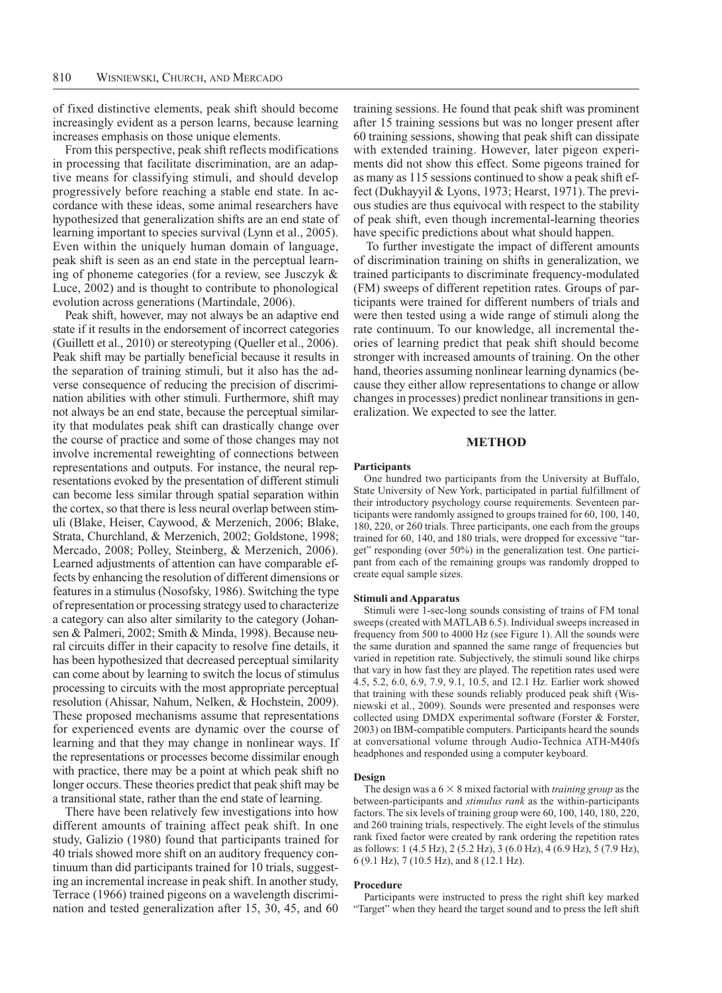of fixed distinctive elements, peak shift should become increasingly evident as a person learns, because learning increases emphasis on those unique elements.

From this perspective, peak shift reflects modifications in processing that facilitate discrimination, are an adaptive means for classifying stimuli, and should develop progressively before reaching a stable end state. In accordance with these ideas, some animal researchers have hypothesized that generalization shifts are an end state of learning important to species survival (Lynn et al., 2005). Even within the uniquely human domain of language, peak shift is seen as an end state in the perceptual learning of phoneme categories (for a review, see Jusczyk & Luce, 2002) and is thought to contribute to phonological evolution across generations (Martindale, 2006).

Peak shift, however, may not always be an adaptive end state if it results in the endorsement of incorrect categories (Guillett et al., 2010) or stereotyping (Queller et al., 2006). Peak shift may be partially beneficial because it results in the separation of training stimuli, but it also has the adverse consequence of reducing the precision of discrimination abilities with other stimuli. Furthermore, shift may not always be an end state, because the perceptual similarity that modulates peak shift can drastically change over the course of practice and some of those changes may not involve incremental reweighting of connections between representations and outputs. For instance, the neural representations evoked by the presentation of different stimuli can become less similar through spatial separation within the cortex, so that there is less neural overlap between stimuli (Blake, Heiser, Caywood, & Merzenich, 2006; Blake, Strata, Churchland, & Merzenich, 2002; Goldstone, 1998; Mercado, 2008; Polley, Steinberg, & Merzenich, 2006). Learned adjustments of attention can have comparable effects by enhancing the resolution of different dimensions or features in a stimulus (Nosofsky, 1986). Switching the type of representation or processing strategy used to characterize a category can also alter similarity to the category (Johansen & Palmeri, 2002; Smith & Minda, 1998). Because neural circuits differ in their capacity to resolve fine details, it has been hypothesized that decreased perceptual similarity can come about by learning to switch the locus of stimulus processing to circuits with the most appropriate perceptual resolution (Ahissar, Nahum, Nelken, & Hochstein, 2009). These proposed mechanisms assume that representations for experienced events are dynamic over the course of learning and that they may change in nonlinear ways. If the representations or processes become dissimilar enough with practice, there may be a point at which peak shift no longer occurs. These theories predict that peak shift may be a transitional state, rather than the end state of learning.

There have been relatively few investigations into how different amounts of training affect peak shift. In one study, Galizio (1980) found that participants trained for 40 trials showed more shift on an auditory frequency continuum than did participants trained for 10 trials, suggesting an incremental increase in peak shift. In another study, Terrace (1966) trained pigeons on a wavelength discrimination and tested generalization after 15, 30, 45, and 60

training sessions. He found that peak shift was prominent after 15 training sessions but was no longer present after 60 training sessions, showing that peak shift can dissipate with extended training. However, later pigeon experiments did not show this effect. Some pigeons trained for as many as 115 sessions continued to show a peak shift effect (Dukhayyil & Lyons, 1973; Hearst, 1971). The previous studies are thus equivocal with respect to the stability of peak shift, even though incremental-learning theories have specific predictions about what should happen.

To further investigate the impact of different amounts of discrimination training on shifts in generalization, we trained participants to discriminate frequency-modulated (FM) sweeps of different repetition rates. Groups of participants were trained for different numbers of trials and were then tested using a wide range of stimuli along the rate continuum. To our knowledge, all incremental theories of learning predict that peak shift should become stronger with increased amounts of training. On the other hand, theories assuming nonlinear learning dynamics (because they either allow representations to change or allow changes in processes) predict nonlinear transitions in generalization. We expected to see the latter.

#### **METHOD**

## **Participants**

One hundred two participants from the University at Buffalo, State University of New York, participated in partial fulfillment of their introductory psychology course requirements. Seventeen participants were randomly assigned to groups trained for 60, 100, 140, 180, 220, or 260 trials. Three participants, one each from the groups trained for 60, 140, and 180 trials, were dropped for excessive "target" responding (over 50%) in the generalization test. One participant from each of the remaining groups was randomly dropped to create equal sample sizes.

#### **Stimuli and Apparatus**

Stimuli were 1-sec-long sounds consisting of trains of FM tonal sweeps (created with MATLAB 6.5). Individual sweeps increased in frequency from 500 to 4000 Hz (see Figure 1). All the sounds were the same duration and spanned the same range of frequencies but varied in repetition rate. Subjectively, the stimuli sound like chirps that vary in how fast they are played. The repetition rates used were 4.5, 5.2, 6.0, 6.9, 7.9, 9.1, 10.5, and 12.1 Hz. Earlier work showed that training with these sounds reliably produced peak shift (Wisniewski et al., 2009). Sounds were presented and responses were collected using DMDX experimental software (Forster & Forster, 2003) on IBM-compatible computers. Participants heard the sounds at conversational volume through Audio-Technica ATH-M40fs headphones and responded using a computer keyboard.

#### **Design**

The design was a  $6 \times 8$  mixed factorial with *training group* as the between-participants and *stimulus rank* as the within-participants factors. The six levels of training group were 60, 100, 140, 180, 220, and 260 training trials, respectively. The eight levels of the stimulus rank fixed factor were created by rank ordering the repetition rates as follows: 1 (4.5 Hz), 2 (5.2 Hz), 3 (6.0 Hz), 4 (6.9 Hz), 5 (7.9 Hz), 6 (9.1 Hz), 7 (10.5 Hz), and 8 (12.1 Hz).

#### **Procedure**

Participants were instructed to press the right shift key marked "Target" when they heard the target sound and to press the left shift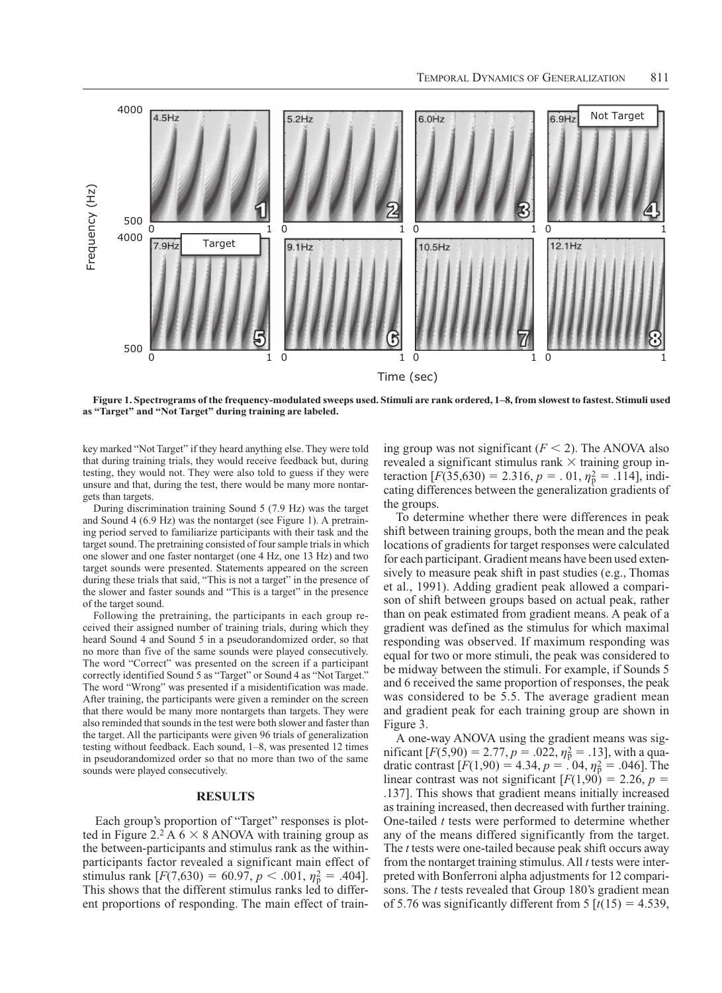

**Figure 1. Spectrograms of the frequency-modulated sweeps used. Stimuli are rank ordered, 1–8, from slowest to fastest. Stimuli used as "Target" and "Not Target" during training are labeled.**

key marked "Not Target" if they heard anything else. They were told that during training trials, they would receive feedback but, during testing, they would not. They were also told to guess if they were unsure and that, during the test, there would be many more nontargets than targets.

During discrimination training Sound 5 (7.9 Hz) was the target and Sound 4 (6.9 Hz) was the nontarget (see Figure 1). A pretraining period served to familiarize participants with their task and the target sound. The pretraining consisted of four sample trials in which one slower and one faster nontarget (one 4 Hz, one 13 Hz) and two target sounds were presented. Statements appeared on the screen during these trials that said, "This is not a target" in the presence of the slower and faster sounds and "This is a target" in the presence of the target sound.

Following the pretraining, the participants in each group received their assigned number of training trials, during which they heard Sound 4 and Sound 5 in a pseudorandomized order, so that no more than five of the same sounds were played consecutively. The word "Correct" was presented on the screen if a participant correctly identified Sound 5 as "Target" or Sound 4 as "Not Target." The word "Wrong" was presented if a misidentification was made. After training, the participants were given a reminder on the screen that there would be many more nontargets than targets. They were also reminded that sounds in the test were both slower and faster than the target. All the participants were given 96 trials of generalization testing without feedback. Each sound, 1–8, was presented 12 times in pseudorandomized order so that no more than two of the same sounds were played consecutively.

### **RESULTS**

Each group's proportion of "Target" responses is plotted in Figure 2.<sup>2</sup> A  $6 \times 8$  ANOVA with training group as the between-participants and stimulus rank as the withinparticipants factor revealed a significant main effect of stimulus rank  $[F(7,630) = 60.97, p < .001, \eta_{\rm p}^2 = .404]$ . This shows that the different stimulus ranks led to different proportions of responding. The main effect of training group was not significant  $(F < 2)$ . The ANOVA also revealed a significant stimulus rank  $\times$  training group interaction  $[F(35,630) = 2.316, p = .01, \eta_{p}^{2} = .114]$ , indicating differences between the generalization gradients of the groups.

To determine whether there were differences in peak shift between training groups, both the mean and the peak locations of gradients for target responses were calculated for each participant. Gradient means have been used extensively to measure peak shift in past studies (e.g., Thomas et al., 1991). Adding gradient peak allowed a comparison of shift between groups based on actual peak, rather than on peak estimated from gradient means. A peak of a gradient was defined as the stimulus for which maximal responding was observed. If maximum responding was equal for two or more stimuli, the peak was considered to be midway between the stimuli. For example, if Sounds 5 and 6 received the same proportion of responses, the peak was considered to be 5.5. The average gradient mean and gradient peak for each training group are shown in Figure 3.

A one-way ANOVA using the gradient means was significant  $[F(5,90) = 2.77, p = .022, \eta_{\rm p}^2 = .13]$ , with a quadratic contrast  $[F(1,90) = 4.34, p = 0.04, \eta_p^2 = 0.046]$ . The linear contrast was not significant  $[F(1,90) = 2.26, p =$ .137]. This shows that gradient means initially increased as training increased, then decreased with further training. One-tailed *t* tests were performed to determine whether any of the means differed significantly from the target. The *t* tests were one-tailed because peak shift occurs away from the nontarget training stimulus. All *t* tests were interpreted with Bonferroni alpha adjustments for 12 comparisons. The *t* tests revealed that Group 180's gradient mean of 5.76 was significantly different from 5  $[t(15) = 4.539]$ ,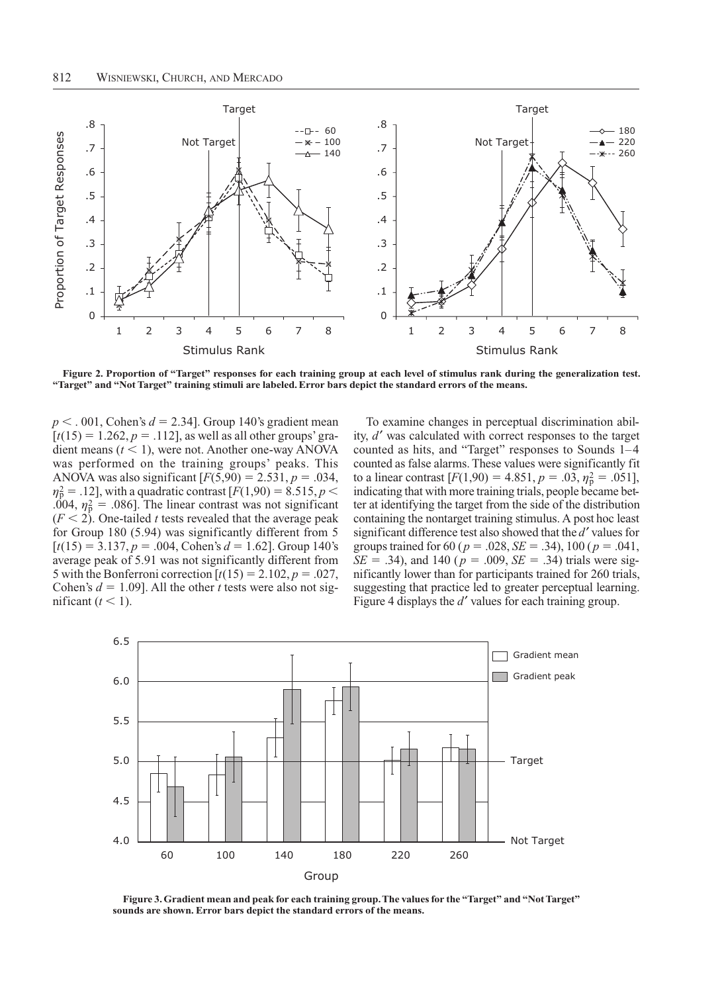

**Figure 2. Proportion of "Target" responses for each training group at each level of stimulus rank during the generalization test. "Target" and "Not Target" training stimuli are labeled. Error bars depict the standard errors of the means.**

 $p < .001$ , Cohen's  $d = 2.34$ . Group 140's gradient mean  $[t(15) = 1.262, p = .112]$ , as well as all other groups' gradient means  $(t < 1)$ , were not. Another one-way ANOVA was performed on the training groups' peaks. This ANOVA was also significant  $[F(5,90) = 2.531, p = .034,$  $\eta_p^2 = .12$ , with a quadratic contrast [*F*(1,90) = 8.515, *p* < .004,  $\eta_p^2$  = .086]. The linear contrast was not significant  $(F < 2)$ . One-tailed *t* tests revealed that the average peak for Group 180 (5.94) was significantly different from 5  $[t(15) = 3.137, p = .004, \text{Cohen's } d = 1.62]$ . Group 140's average peak of 5.91 was not significantly different from 5 with the Bonferroni correction  $[t(15) = 2.102, p = .027,$ Cohen's  $d = 1.09$ ]. All the other *t* tests were also not significant  $(t < 1)$ .

To examine changes in perceptual discrimination ability, *d'* was calculated with correct responses to the target counted as hits, and "Target" responses to Sounds 1–4 counted as false alarms. These values were significantly fit to a linear contrast  $[F(1,90) = 4.851, p = .03, \eta_{\rm p}^2 = .051]$ , indicating that with more training trials, people became better at identifying the target from the side of the distribution containing the nontarget training stimulus. A post hoc least significant difference test also showed that the *d'* values for groups trained for 60 ( $p = .028$ ,  $SE = .34$ ), 100 ( $p = .041$ ,  $SE = .34$ ), and 140 ( $p = .009$ ,  $SE = .34$ ) trials were significantly lower than for participants trained for 260 trials, suggesting that practice led to greater perceptual learning. Figure 4 displays the *d'* values for each training group.



**Figure 3. Gradient mean and peak for each training group. The values for the "Target" and "Not Target" sounds are shown. Error bars depict the standard errors of the means.**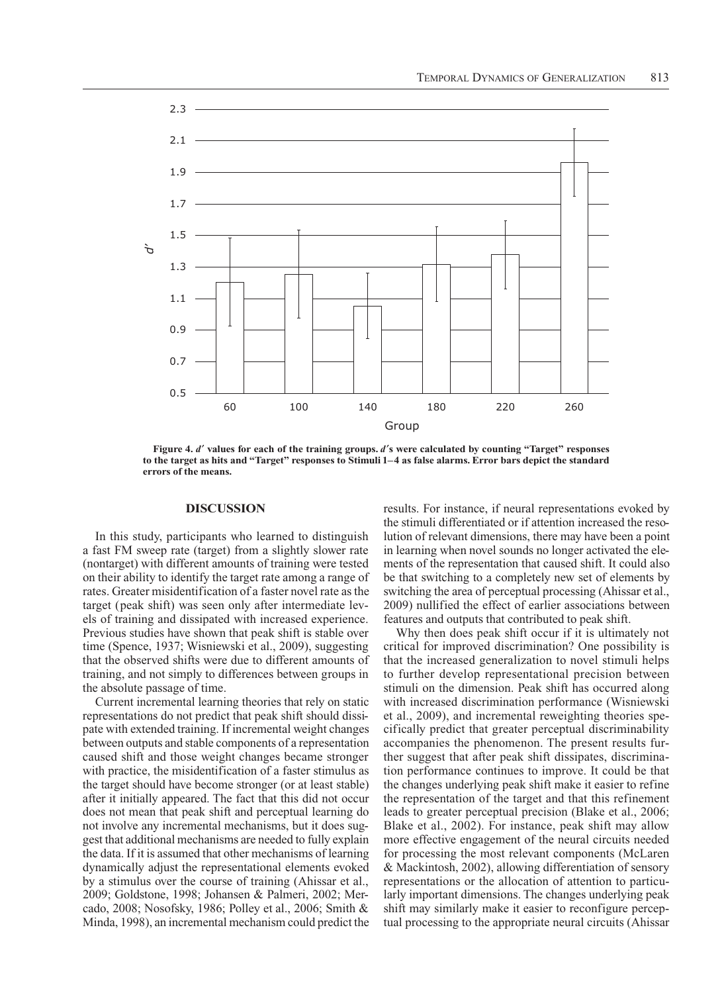

**Figure 4.** *d* **values for each of the training groups.** *d***s were calculated by counting "Target" responses to the target as hits and "Target" responses to Stimuli 1–4 as false alarms. Error bars depict the standard errors of the means.**

## **DISCUSSION**

In this study, participants who learned to distinguish a fast FM sweep rate (target) from a slightly slower rate (nontarget) with different amounts of training were tested on their ability to identify the target rate among a range of rates. Greater misidentification of a faster novel rate as the target (peak shift) was seen only after intermediate levels of training and dissipated with increased experience. Previous studies have shown that peak shift is stable over time (Spence, 1937; Wisniewski et al., 2009), suggesting that the observed shifts were due to different amounts of training, and not simply to differences between groups in the absolute passage of time.

Current incremental learning theories that rely on static representations do not predict that peak shift should dissipate with extended training. If incremental weight changes between outputs and stable components of a representation caused shift and those weight changes became stronger with practice, the misidentification of a faster stimulus as the target should have become stronger (or at least stable) after it initially appeared. The fact that this did not occur does not mean that peak shift and perceptual learning do not involve any incremental mechanisms, but it does suggest that additional mechanisms are needed to fully explain the data. If it is assumed that other mechanisms of learning dynamically adjust the representational elements evoked by a stimulus over the course of training (Ahissar et al., 2009; Goldstone, 1998; Johansen & Palmeri, 2002; Mercado, 2008; Nosofsky, 1986; Polley et al., 2006; Smith & Minda, 1998), an incremental mechanism could predict the

results. For instance, if neural representations evoked by the stimuli differentiated or if attention increased the resolution of relevant dimensions, there may have been a point in learning when novel sounds no longer activated the elements of the representation that caused shift. It could also be that switching to a completely new set of elements by switching the area of perceptual processing (Ahissar et al., 2009) nullified the effect of earlier associations between features and outputs that contributed to peak shift.

Why then does peak shift occur if it is ultimately not critical for improved discrimination? One possibility is that the increased generalization to novel stimuli helps to further develop representational precision between stimuli on the dimension. Peak shift has occurred along with increased discrimination performance (Wisniewski et al., 2009), and incremental reweighting theories specifically predict that greater perceptual discriminability accompanies the phenomenon. The present results further suggest that after peak shift dissipates, discrimination performance continues to improve. It could be that the changes underlying peak shift make it easier to refine the representation of the target and that this refinement leads to greater perceptual precision (Blake et al., 2006; Blake et al., 2002). For instance, peak shift may allow more effective engagement of the neural circuits needed for processing the most relevant components (McLaren & Mackintosh, 2002), allowing differentiation of sensory representations or the allocation of attention to particularly important dimensions. The changes underlying peak shift may similarly make it easier to reconfigure perceptual processing to the appropriate neural circuits (Ahissar